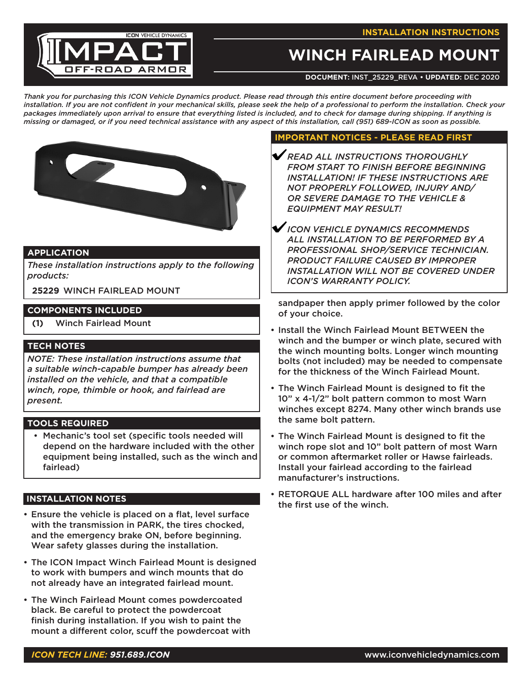#### **INSTALLATION INSTRUCTIONS**



# **WINCH FAIRLEAD MOUNT**

**DOCUMENT:** INST\_25229\_REVA **• UPDATED:** Dec 2020

*Thank you for purchasing this ICON Vehicle Dynamics product. Please read through this entire document before proceeding with installation. If you are not confident in your mechanical skills, please seek the help of a professional to perform the installation. Check your packages immediately upon arrival to ensure that everything listed is included, and to check for damage during shipping. If anything is missing or damaged, or if you need technical assistance with any aspect of this installation, call (951) 689-ICON as soon as possible.*



## **APPLICATION**

*These installation instructions apply to the following products:*

**25229** WINCH FAIRLEAD MOUNT

# **COMPONENTS INCLUDED**

**(1)** Winch Fairlead Mount

## **TECH NOTES**

*NOTE: These installation instructions assume that a suitable winch-capable bumper has already been installed on the vehicle, and that a compatible winch, rope, thimble or hook, and fairlead are present.*

#### **TOOLS REQUIRED**

• Mechanic's tool set (specific tools needed will depend on the hardware included with the other equipment being installed, such as the winch and fairlead)

#### **INSTALLATION NOTES**

- Ensure the vehicle is placed on a flat, level surface with the transmission in PARK, the tires chocked, and the emergency brake ON, before beginning. Wear safety glasses during the installation.
- The ICON Impact Winch Fairlead Mount is designed to work with bumpers and winch mounts that do not already have an integrated fairlead mount.
- The Winch Fairlead Mount comes powdercoated black. Be careful to protect the powdercoat finish during installation. If you wish to paint the mount a different color, scuff the powdercoat with

#### **IMPORTANT NOTICES - PLEASE READ FIRST**

- *READ ALL INSTRUCTIONS THOROUGHLY FROM START TO FINISH BEFORE BEGINNING INSTALLATION! IF THESE INSTRUCTIONS ARE NOT PROPERLY FOLLOWED, INJURY AND/ OR SEVERE DAMAGE TO THE VEHICLE & EQUIPMENT MAY RESULT!*
- *ICON VEHICLE DYNAMICS RECOMMENDS ALL INSTALLATION TO BE PERFORMED BY A PROFESSIONAL SHOP/SERVICE TECHNICIAN. PRODUCT FAILURE CAUSED BY IMPROPER INSTALLATION WILL NOT BE COVERED UNDER ICON'S WARRANTY POLICY.*

sandpaper then apply primer followed by the color of your choice.

- Install the Winch Fairlead Mount BETWEEN the winch and the bumper or winch plate, secured with the winch mounting bolts. Longer winch mounting bolts (not included) may be needed to compensate for the thickness of the Winch Fairlead Mount.
- The Winch Fairlead Mount is designed to fit the 10" x 4-1/2" bolt pattern common to most Warn winches except 8274. Many other winch brands use the same bolt pattern.
- The Winch Fairlead Mount is designed to fit the winch rope slot and 10" bolt pattern of most Warn or common aftermarket roller or Hawse fairleads. Install your fairlead according to the fairlead manufacturer's instructions.
- RETORQUE ALL hardware after 100 miles and after the first use of the winch.